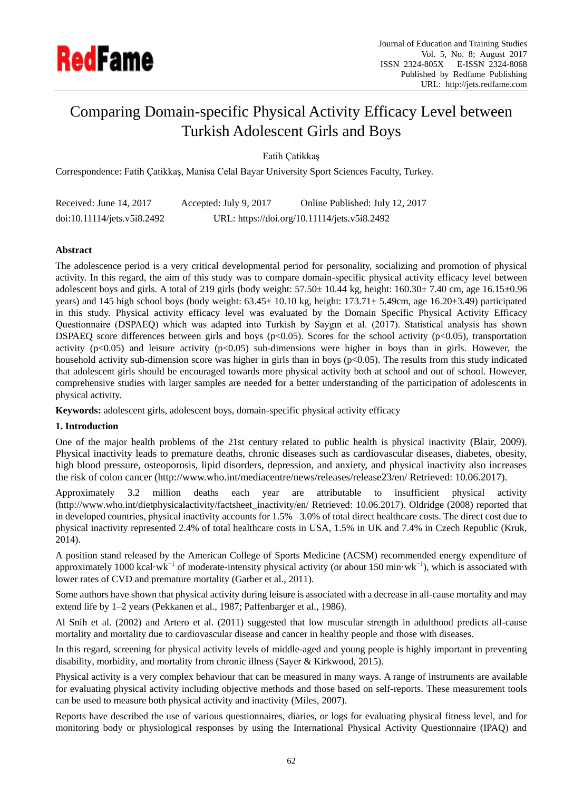

# Comparing Domain-specific Physical Activity Efficacy Level between Turkish Adolescent Girls and Boys

Fatih Çatikkaş

Correspondence: Fatih Çatikkaş, Manisa Celal Bayar University Sport Sciences Faculty, Turkey.

| Received: June 14, 2017     | Accepted: July 9, 2017 | Online Published: July 12, 2017              |
|-----------------------------|------------------------|----------------------------------------------|
| doi:10.11114/jets.v5i8.2492 |                        | URL: https://doi.org/10.11114/jets.v5i8.2492 |

## **Abstract**

The adolescence period is a very critical developmental period for personality, socializing and promotion of physical activity. In this regard, the aim of this study was to compare domain-specific physical activity efficacy level between adolescent boys and girls. A total of 219 girls (body weight:  $57.50 \pm 10.44$  kg, height:  $160.30 \pm 7.40$  cm, age  $16.15 \pm 0.96$ years) and 145 high school boys (body weight:  $63.45 \pm 10.10$  kg, height:  $173.71 \pm 5.49$ cm, age  $16.20 \pm 3.49$ ) participated in this study. Physical activity efficacy level was evaluated by the Domain Specific Physical Activity Efficacy Questionnaire (DSPAEQ) which was adapted into Turkish by Saygın et al. (2017). Statistical analysis has shown DSPAEQ score differences between girls and boys (p<0.05). Scores for the school activity (p<0.05), transportation activity ( $p<0.05$ ) and leisure activity ( $p<0.05$ ) sub-dimensions were higher in boys than in girls. However, the household activity sub-dimension score was higher in girls than in boys (p<0.05). The results from this study indicated that adolescent girls should be encouraged towards more physical activity both at school and out of school. However, comprehensive studies with larger samples are needed for a better understanding of the participation of adolescents in physical activity.

**Keywords:** adolescent girls, adolescent boys, domain-specific physical activity efficacy

#### **1. Introduction**

One of the major health problems of the 21st century related to public health is physical inactivity (Blair, 2009). Physical inactivity leads to premature deaths, chronic diseases such as cardiovascular diseases, diabetes, obesity, high blood pressure, osteoporosis, lipid disorders, depression, and anxiety, and physical inactivity also increases the risk of colon cancer (http://www.who.int/mediacentre/news/releases/release23/en/ Retrieved: 10.06.2017).

Approximately 3.2 million deaths each year are attributable to insufficient physical activity (http://www.who.int/dietphysicalactivity/factsheet\_inactivity/en/ Retrieved: 10.06.2017). Oldridge (2008) reported that in developed countries, physical inactivity accounts for 1.5% –3.0% of total direct healthcare costs. The direct cost due to physical inactivity represented 2.4% of total healthcare costs in USA, 1.5% in UK and 7.4% in Czech Republic (Kruk, 2014).

A position stand released by the American College of Sports Medicine (ACSM) recommended energy expenditure of approximately 1000 kcal wk<sup>-1</sup> of moderate-intensity physical activity (or about 150 min wk<sup>-1</sup>), which is associated with lower rates of CVD and premature mortality (Garber et al., 2011).

Some authors have shown that physical activity during leisure is associated with a decrease in all-cause mortality and may extend life by 1–2 years (Pekkanen et al., 1987; Paffenbarger et al., 1986).

Al Snih et al. (2002) and Artero et al. (2011) suggested that low muscular strength in adulthood predicts all-cause mortality and mortality due to cardiovascular disease and cancer in healthy people and those with diseases.

In this regard, screening for physical activity levels of middle-aged and young people is highly important in preventing disability, morbidity, and mortality from chronic illness (Sayer & Kirkwood, 2015).

Physical activity is a very complex behaviour that can be measured in many ways. A range of instruments are available for evaluating physical activity including objective methods and those based on self-reports. These measurement tools can be used to measure both physical activity and inactivity (Miles, 2007).

Reports have described the use of various questionnaires, diaries, or logs for evaluating physical fitness level, and for monitoring body or physiological responses by using the International Physical Activity Questionnaire (IPAQ) and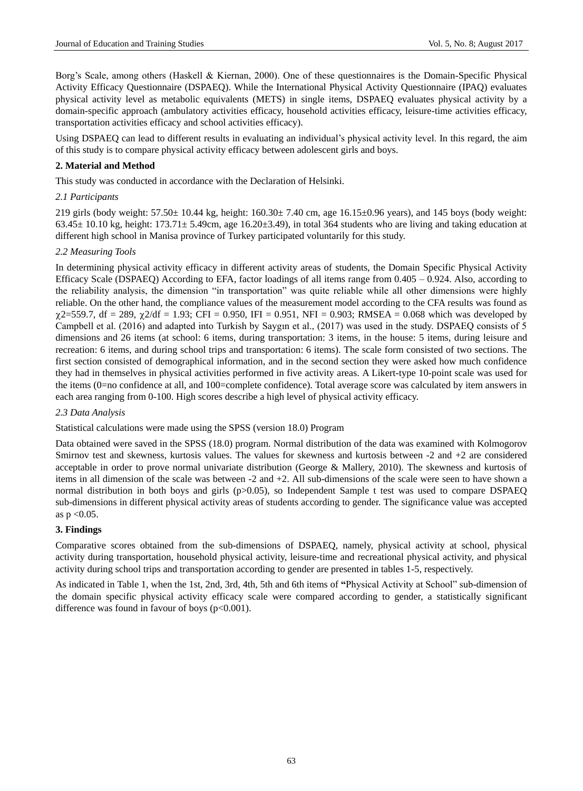Borg's Scale, among others (Haskell & Kiernan, 2000). One of these questionnaires is the Domain-Specific Physical Activity Efficacy Questionnaire (DSPAEQ). While the International Physical Activity Questionnaire (IPAQ) evaluates physical activity level as metabolic equivalents (METS) in single items, DSPAEQ evaluates physical activity by a domain-specific approach (ambulatory activities efficacy, household activities efficacy, leisure-time activities efficacy, transportation activities efficacy and school activities efficacy).

Using DSPAEQ can lead to different results in evaluating an individual's physical activity level. In this regard, the aim of this study is to compare physical activity efficacy between adolescent girls and boys.

## **2. Material and Method**

This study was conducted in accordance with the Declaration of Helsinki.

#### *2.1 Participants*

219 girls (body weight:  $57.50 \pm 10.44$  kg, height:  $160.30 \pm 7.40$  cm, age  $16.15 \pm 0.96$  years), and 145 boys (body weight:  $63.45 \pm 10.10$  kg, height:  $173.71 \pm 5.49$ cm, age  $16.20 \pm 3.49$ ), in total 364 students who are living and taking education at different high school in Manisa province of Turkey participated voluntarily for this study.

#### *2.2 Measuring Tools*

In determining physical activity efficacy in different activity areas of students, the Domain Specific Physical Activity Efficacy Scale (DSPAEQ) According to EFA, factor loadings of all items range from 0.405 – 0.924. Also, according to the reliability analysis, the dimension "in transportation" was quite reliable while all other dimensions were highly reliable. On the other hand, the compliance values of the measurement model according to the CFA results was found as  $\chi$ 2=559.7, df = 289,  $\chi$ 2/df = 1.93; CFI = 0.950, IFI = 0.951, NFI = 0.903; RMSEA = 0.068 which was developed by Campbell et al. (2016) and adapted into Turkish by Saygın et al., (2017) was used in the study. DSPAEQ consists of 5 dimensions and 26 items (at school: 6 items, during transportation: 3 items, in the house: 5 items, during leisure and recreation: 6 items, and during school trips and transportation: 6 items). The scale form consisted of two sections. The first section consisted of demographical information, and in the second section they were asked how much confidence they had in themselves in physical activities performed in five activity areas. A Likert-type 10-point scale was used for the items (0=no confidence at all, and 100=complete confidence). Total average score was calculated by item answers in each area ranging from 0-100. High scores describe a high level of physical activity efficacy.

#### *2.3 Data Analysis*

#### Statistical calculations were made using the SPSS (version 18.0) Program

Data obtained were saved in the SPSS (18.0) program. Normal distribution of the data was examined with Kolmogorov Smirnov test and skewness, kurtosis values. The values for skewness and kurtosis between -2 and +2 are considered acceptable in order to prove normal univariate distribution (George & Mallery, 2010). The skewness and kurtosis of items in all dimension of the scale was between -2 and +2. All sub-dimensions of the scale were seen to have shown a normal distribution in both boys and girls (p>0.05), so Independent Sample t test was used to compare DSPAEQ sub-dimensions in different physical activity areas of students according to gender. The significance value was accepted as  $p < 0.05$ .

#### **3. Findings**

Comparative scores obtained from the sub-dimensions of DSPAEQ, namely, physical activity at school, physical activity during transportation, household physical activity, leisure-time and recreational physical activity, and physical activity during school trips and transportation according to gender are presented in tables 1-5, respectively.

As indicated in Table 1, when the 1st, 2nd, 3rd, 4th, 5th and 6th items of **"**Physical Activity at School" sub-dimension of the domain specific physical activity efficacy scale were compared according to gender, a statistically significant difference was found in favour of boys  $(p<0.001)$ .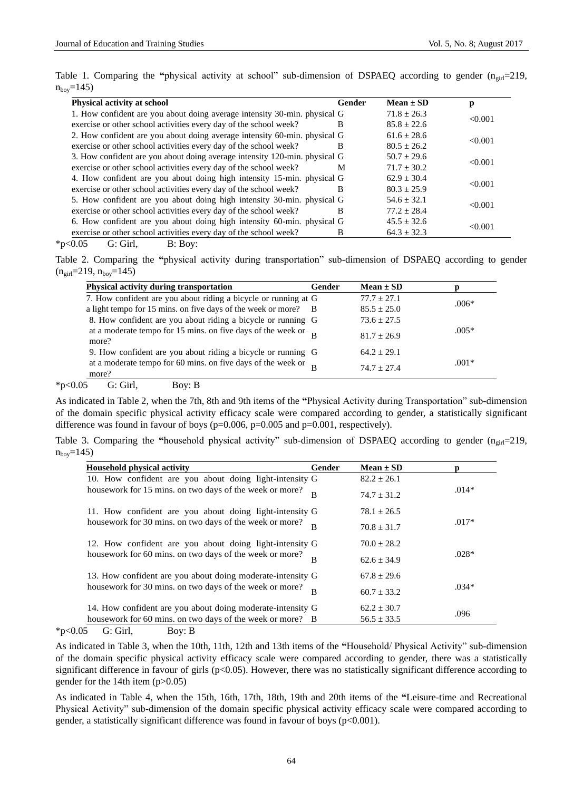Table 1. Comparing the "physical activity at school" sub-dimension of DSPAEQ according to gender  $(n_{\text{o}}-219)$ ,  $n_{\text{bov}} = 145$ 

| <b>Physical activity at school</b>                                         | Gender | Mean $\pm$ SD   | p       |
|----------------------------------------------------------------------------|--------|-----------------|---------|
| 1. How confident are you about doing average intensity 30-min. physical G  |        | $71.8 \pm 26.3$ |         |
| exercise or other school activities every day of the school week?          | B      | $85.8 \pm 22.6$ | < 0.001 |
| 2. How confident are you about doing average intensity 60-min. physical G  |        | $61.6 + 28.6$   |         |
| exercise or other school activities every day of the school week?          | B      | $80.5 \pm 26.2$ | < 0.001 |
| 3. How confident are you about doing average intensity 120-min. physical G |        | $50.7 + 29.6$   |         |
| exercise or other school activities every day of the school week?          | M      | $71.7 + 30.2$   | < 0.001 |
| 4. How confident are you about doing high intensity 15-min. physical G     |        | $62.9 + 30.4$   |         |
| exercise or other school activities every day of the school week?          | B      | $80.3 \pm 25.9$ | < 0.001 |
| 5. How confident are you about doing high intensity 30-min. physical G     |        | $54.6 + 32.1$   |         |
| exercise or other school activities every day of the school week?          | B      | $77.2 + 28.4$   | < 0.001 |
| 6. How confident are you about doing high intensity 60-min. physical G     |        | $45.5 \pm 32.6$ |         |
| exercise or other school activities every day of the school week?          | В      | $64.3 \pm 32.3$ | < 0.001 |

 $*p<0.05$  G: Girl, B: Boy:

Table 2. Comparing the **"**physical activity during transportation" sub-dimension of DSPAEQ according to gender  $(n_{\text{girl}}=219, n_{\text{bov}}=145)$ 

| Physical activity during transportation                                             | Gender | Mean $\pm$ SD   |         |
|-------------------------------------------------------------------------------------|--------|-----------------|---------|
| 7. How confident are you about riding a bicycle or running at G                     |        | $77.7 + 27.1$   | $.006*$ |
| a light tempo for 15 mins. on five days of the week or more?                        | - B    | $85.5 \pm 25.0$ |         |
| 8. How confident are you about riding a bicycle or running G                        |        | $73.6 \pm 27.5$ |         |
| at a moderate tempo for 15 mins. on five days of the week or $_{\text{B}}$<br>more? |        | $81.7 + 26.9$   | $.005*$ |
| 9. How confident are you about riding a bicycle or running G                        |        | $64.2 + 29.1$   |         |
| at a moderate tempo for 60 mins. on five days of the week or $R$<br>more?           |        | $74.7 + 27.4$   | $.001*$ |

 $*p<0.05$  G: Girl, Boy: B

As indicated in Table 2, when the 7th, 8th and 9th items of the **"**Physical Activity during Transportation" sub-dimension of the domain specific physical activity efficacy scale were compared according to gender, a statistically significant difference was found in favour of boys ( $p=0.006$ ,  $p=0.005$  and  $p=0.001$ , respectively).

Table 3. Comparing the "household physical activity" sub-dimension of DSPAEQ according to gender  $(n_{\text{crit}}=219,$  $n_{\text{boy}} = 145$ 

| <b>Household physical activity</b>                         | Gender         | Mean $\pm SD$   |                                       |
|------------------------------------------------------------|----------------|-----------------|---------------------------------------|
| 10. How confident are you about doing light-intensity G    |                | $82.2 \pm 26.1$ |                                       |
| housework for 15 mins. on two days of the week or more?    | B              | $74.7 \pm 31.2$ | $.014*$                               |
| 11. How confident are you about doing light-intensity G    |                | $78.1 \pm 26.5$ |                                       |
| housework for 30 mins. on two days of the week or more?    | $\overline{B}$ | $70.8 \pm 31.7$ | $.017*$<br>$.028*$<br>$.034*$<br>.096 |
| 12. How confident are you about doing light-intensity G    |                | $70.0 \pm 28.2$ |                                       |
| housework for 60 mins. on two days of the week or more?    | B              | $62.6 \pm 34.9$ |                                       |
| 13. How confident are you about doing moderate-intensity G |                | $67.8 + 29.6$   |                                       |
| housework for 30 mins. on two days of the week or more?    | B              | $60.7 \pm 33.2$ |                                       |
| 14. How confident are you about doing moderate-intensity G |                | $62.2 \pm 30.7$ |                                       |
| housework for 60 mins, on two days of the week or more? B  |                | $56.5 \pm 33.5$ |                                       |

 $*p<0.05$  G: Girl, Boy: B

As indicated in Table 3, when the 10th, 11th, 12th and 13th items of the **"**Household/ Physical Activity" sub-dimension of the domain specific physical activity efficacy scale were compared according to gender, there was a statistically significant difference in favour of girls (p<0.05). However, there was no statistically significant difference according to gender for the 14th item (p>0.05)

As indicated in Table 4, when the 15th, 16th, 17th, 18th, 19th and 20th items of the **"**Leisure-time and Recreational Physical Activity" sub-dimension of the domain specific physical activity efficacy scale were compared according to gender, a statistically significant difference was found in favour of boys (p<0.001).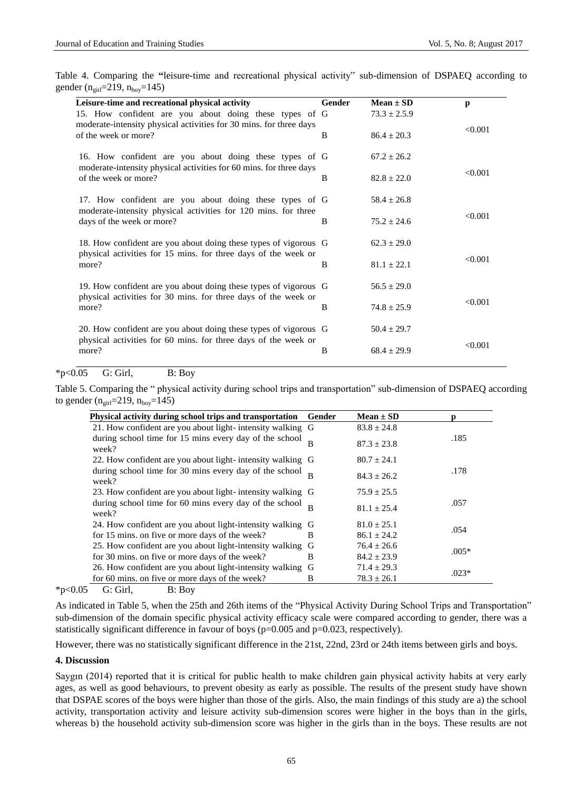Table 4. Comparing the **"**leisure-time and recreational physical activity" sub-dimension of DSPAEQ according to gender  $(n_{\text{oirl}}=219, n_{\text{box}}=145)$ 

| Leisure-time and recreational physical activity                                                                                   | Gender               | Mean $\pm SD$    | p       |
|-----------------------------------------------------------------------------------------------------------------------------------|----------------------|------------------|---------|
| 15. How confident are you about doing these types of G                                                                            |                      | $73.3 \pm 2.5.9$ |         |
| moderate-intensity physical activities for 30 mins. for three days<br>of the week or more?                                        | $86.4 \pm 20.3$<br>B |                  | < 0.001 |
| 16. How confident are you about doing these types of G                                                                            |                      | $67.2 \pm 26.2$  |         |
| moderate-intensity physical activities for 60 mins. for three days<br>of the week or more?                                        | B                    | $82.8 \pm 22.0$  | < 0.001 |
| 17. How confident are you about doing these types of G<br>moderate-intensity physical activities for 120 mins. for three          |                      | $58.4 \pm 26.8$  |         |
| days of the week or more?                                                                                                         | B                    | $75.2 + 24.6$    | < 0.001 |
| 18. How confident are you about doing these types of vigorous G<br>physical activities for 15 mins. for three days of the week or |                      | $62.3 \pm 29.0$  |         |
| more?                                                                                                                             | B                    | $81.1 \pm 22.1$  | < 0.001 |
| 19. How confident are you about doing these types of vigorous G<br>physical activities for 30 mins. for three days of the week or |                      | $56.5 \pm 29.0$  |         |
| more?                                                                                                                             | B                    | $74.8 \pm 25.9$  | < 0.001 |
| 20. How confident are you about doing these types of vigorous G<br>physical activities for 60 mins. for three days of the week or |                      | $50.4 \pm 29.7$  |         |
| more?                                                                                                                             | В                    | $68.4 \pm 29.9$  | < 0.001 |

## $*p<0.05$  G: Girl, B: Boy

Table 5. Comparing the " physical activity during school trips and transportation" sub-dimension of DSPAEQ according to gender  $(n<sub>girl</sub>=219, n<sub>boy</sub>=145)$ 

| Physical activity during school trips and transportation        | Gender | Mean $\pm$ SD   |         |  |
|-----------------------------------------------------------------|--------|-----------------|---------|--|
| 21. How confident are you about light-intensity walking G       |        | $83.8 \pm 24.8$ |         |  |
| during school time for 15 mins every day of the school<br>week? |        | $87.3 \pm 23.8$ | .185    |  |
| 22. How confident are you about light- intensity walking G      |        | $80.7 \pm 24.1$ |         |  |
| during school time for 30 mins every day of the school<br>week? |        | $84.3 + 26.2$   | .178    |  |
| 23. How confident are you about light- intensity walking G      |        | $75.9 \pm 25.5$ |         |  |
| during school time for 60 mins every day of the school<br>week? |        | $81.1 + 25.4$   | .057    |  |
| 24. How confident are you about light-intensity walking G       |        | $81.0 \pm 25.1$ | .054    |  |
| for 15 mins, on five or more days of the week?                  | B      | $86.1 \pm 24.2$ |         |  |
| 25. How confident are you about light-intensity walking G       |        | $76.4 \pm 26.6$ | $.005*$ |  |
| for 30 mins, on five or more days of the week?                  | B      | $84.2 \pm 23.9$ |         |  |
| 26. How confident are you about light-intensity walking G       |        | $71.4 \pm 29.3$ | $.023*$ |  |
| for 60 mins, on five or more days of the week?                  | B      | $78.3 \pm 26.1$ |         |  |

 $*p<0.05$  G: Girl, B: Boy

As indicated in Table 5, when the 25th and 26th items of the "Physical Activity During School Trips and Transportation" sub-dimension of the domain specific physical activity efficacy scale were compared according to gender, there was a statistically significant difference in favour of boys (p=0.005 and p=0.023, respectively).

However, there was no statistically significant difference in the 21st, 22nd, 23rd or 24th items between girls and boys.

#### **4. Discussion**

Saygın (2014) reported that it is critical for public health to make children gain physical activity habits at very early ages, as well as good behaviours, to prevent obesity as early as possible. The results of the present study have shown that DSPAE scores of the boys were higher than those of the girls. Also, the main findings of this study are a) the school activity, transportation activity and leisure activity sub-dimension scores were higher in the boys than in the girls, whereas b) the household activity sub-dimension score was higher in the girls than in the boys. These results are not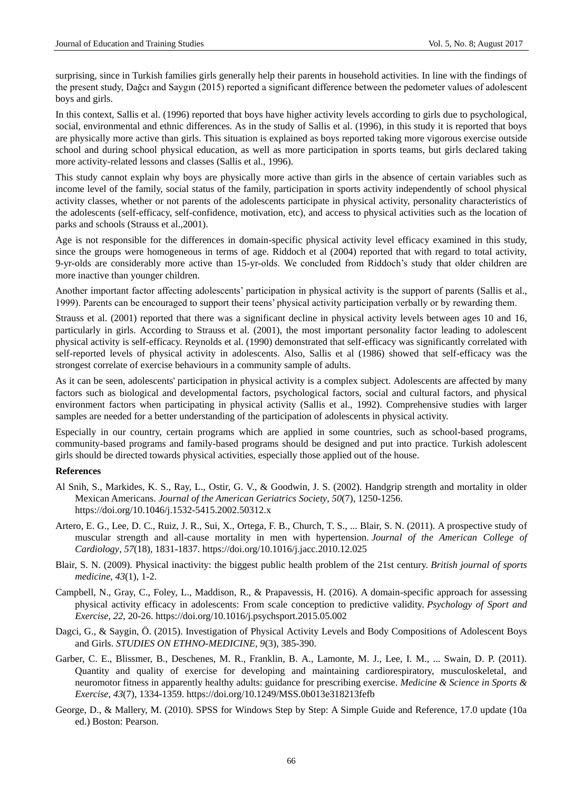surprising, since in Turkish families girls generally help their parents in household activities. In line with the findings of the present study, Dağcı and Saygın (2015) reported a significant difference between the pedometer values of adolescent boys and girls.

In this context, Sallis et al. (1996) reported that boys have higher activity levels according to girls due to psychological, social, environmental and ethnic differences. As in the study of Sallis et al. (1996), in this study it is reported that boys are physically more active than girls. This situation is explained as boys reported taking more vigorous exercise outside school and during school physical education, as well as more participation in sports teams, but girls declared taking more activity-related lessons and classes (Sallis et al., 1996).

This study cannot explain why boys are physically more active than girls in the absence of certain variables such as income level of the family, social status of the family, participation in sports activity independently of school physical activity classes, whether or not parents of the adolescents participate in physical activity, personality characteristics of the adolescents (self-efficacy, self-confidence, motivation, etc), and access to physical activities such as the location of parks and schools (Strauss et al.,2001).

Age is not responsible for the differences in domain-specific physical activity level efficacy examined in this study, since the groups were homogeneous in terms of age. Riddoch et al (2004) reported that with regard to total activity, 9-yr-olds are considerably more active than 15-yr-olds. We concluded from Riddoch's study that older children are more inactive than younger children.

Another important factor affecting adolescents' participation in physical activity is the support of parents (Sallis et al., 1999). Parents can be encouraged to support their teens' physical activity participation verbally or by rewarding them.

Strauss et al. (2001) reported that there was a significant decline in physical activity levels between ages 10 and 16, particularly in girls. According to Strauss et al. (2001), the most important personality factor leading to adolescent physical activity is self-efficacy. Reynolds et al. (1990) demonstrated that self-efficacy was significantly correlated with self-reported levels of physical activity in adolescents. Also, Sallis et al (1986) showed that self-efficacy was the strongest correlate of exercise behaviours in a community sample of adults.

As it can be seen, adolescents' participation in physical activity is a complex subject. Adolescents are affected by many factors such as biological and developmental factors, psychological factors, social and cultural factors, and physical environment factors when participating in physical activity (Sallis et al., 1992). Comprehensive studies with larger samples are needed for a better understanding of the participation of adolescents in physical activity.

Especially in our country, certain programs which are applied in some countries, such as school-based programs, community-based programs and family-based programs should be designed and put into practice. Turkish adolescent girls should be directed towards physical activities, especially those applied out of the house.

#### **References**

- Al Snih, S., Markides, K. S., Ray, L., Ostir, G. V., & Goodwin, J. S. (2002). Handgrip strength and mortality in older Mexican Americans. *Journal of the American Geriatrics Society*, *50*(7), 1250-1256. <https://doi.org/10.1046/j.1532-5415.2002.50312.x>
- Artero, E. G., Lee, D. C., Ruiz, J. R., Sui, X., Ortega, F. B., Church, T. S., ... Blair, S. N. (2011). A prospective study of muscular strength and all-cause mortality in men with hypertension. *Journal of the American College of Cardiology*, *57*(18), 1831-1837. <https://doi.org/10.1016/j.jacc.2010.12.025>
- Blair, S. N. (2009). Physical inactivity: the biggest public health problem of the 21st century. *British journal of sports medicine*, *43*(1), 1-2.
- Campbell, N., Gray, C., Foley, L., Maddison, R., & Prapavessis, H. (2016). A domain-specific approach for assessing physical activity efficacy in adolescents: From scale conception to predictive validity. *Psychology of Sport and Exercise*, *22*, 20-26. <https://doi.org/10.1016/j.psychsport.2015.05.002>
- Dagci, G., & Saygin, Ö. (2015). Investigation of Physical Activity Levels and Body Compositions of Adolescent Boys and Girls. *STUDIES ON ETHNO-MEDICINE*, *9*(3), 385-390.
- Garber, C. E., Blissmer, B., Deschenes, M. R., Franklin, B. A., Lamonte, M. J., Lee, I. M., ... Swain, D. P. (2011). Quantity and quality of exercise for developing and maintaining cardiorespiratory, musculoskeletal, and neuromotor fitness in apparently healthy adults: guidance for prescribing exercise. *Medicine & Science in Sports & Exercise*, *43*(7), 1334-1359. <https://doi.org/10.1249/MSS.0b013e318213fefb>
- George, D., & Mallery, M. (2010). SPSS for Windows Step by Step: A Simple Guide and Reference, 17.0 update (10a ed.) Boston: Pearson.